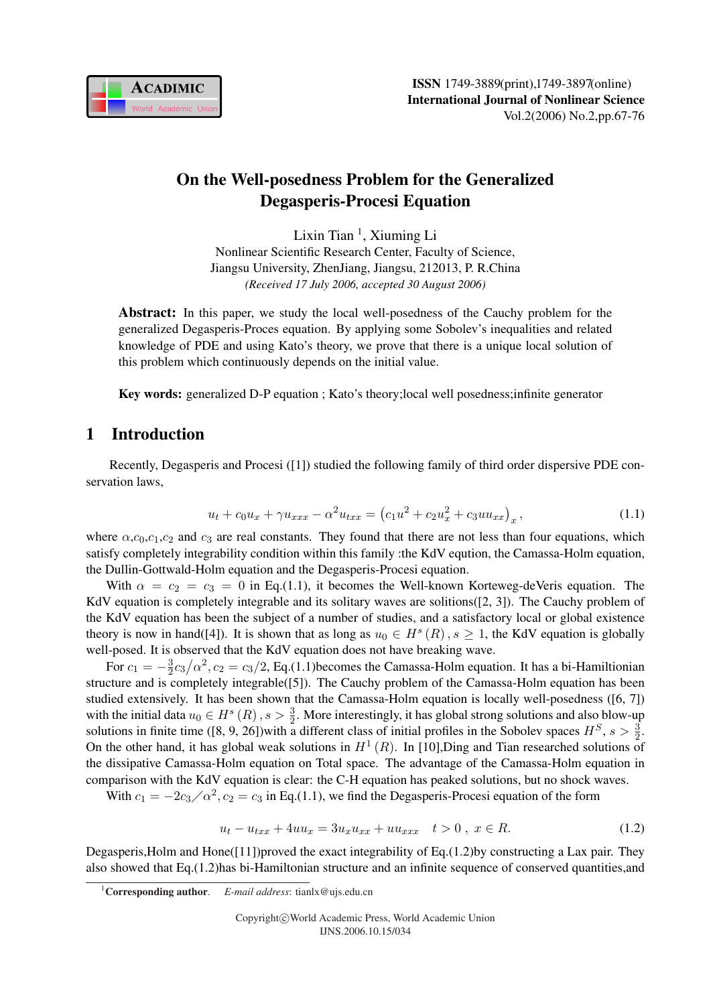

# On the Well-posedness Problem for the Generalized Degasperis-Procesi Equation

Lixin Tian<sup>1</sup>, Xiuming Li Nonlinear Scientific Research Center, Faculty of Science, Jiangsu University, ZhenJiang, Jiangsu, 212013, P. R.China *(Received 17 July 2006, accepted 30 August 2006)*

Abstract: In this paper, we study the local well-posedness of the Cauchy problem for the generalized Degasperis-Proces equation. By applying some Sobolev's inequalities and related knowledge of PDE and using Kato's theory, we prove that there is a unique local solution of this problem which continuously depends on the initial value.

Key words: generalized D-P equation ; Kato's theory;local well posedness;infinite generator

# 1 Introduction

Recently, Degasperis and Procesi ([1]) studied the following family of third order dispersive PDE conservation laws,

$$
u_t + c_0 u_x + \gamma u_{xxx} - \alpha^2 u_{txx} = (c_1 u^2 + c_2 u_x^2 + c_3 u u_{xx})_x, \qquad (1.1)
$$

where  $\alpha$ , $c_0$ , $c_1$ , $c_2$  and  $c_3$  are real constants. They found that there are not less than four equations, which satisfy completely integrability condition within this family :the KdV eqution, the Camassa-Holm equation, the Dullin-Gottwald-Holm equation and the Degasperis-Procesi equation.

With  $\alpha = c_2 = c_3 = 0$  in Eq.(1.1), it becomes the Well-known Korteweg-deVeris equation. The KdV equation is completely integrable and its solitary waves are solitions([2, 3]). The Cauchy problem of the KdV equation has been the subject of a number of studies, and a satisfactory local or global existence theory is now in hand([4]). It is shown that as long as  $u_0 \in H^s(R)$ ,  $s \ge 1$ , the KdV equation is globally well-posed. It is observed that the KdV equation does not have breaking wave.

For  $c_1 = -\frac{3}{2}$  $\frac{3}{2}c_3/\alpha^2$ ,  $c_2 = c_3/2$ , Eq.(1.1) becomes the Camassa-Holm equation. It has a bi-Hamiltionian structure and is completely integrable([5]). The Cauchy problem of the Camassa-Holm equation has been studied extensively. It has been shown that the Camassa-Holm equation is locally well-posedness ([6, 7]) with the initial data  $u_0 \in H^s(R)$ ,  $s > \frac{3}{2}$ . More interestingly, it has global strong solutions and also blow-up solutions in finite time ([8, 9, 26])with a different class of initial profiles in the Sobolev spaces  $H^S$ ,  $s > \frac{3}{2}$ . On the other hand, it has global weak solutions in  $H^1(R)$ . In [10], Ding and Tian researched solutions of the dissipative Camassa-Holm equation on Total space. The advantage of the Camassa-Holm equation in comparison with the KdV equation is clear: the C-H equation has peaked solutions, but no shock waves.

With  $c_1 = -2c_3/\alpha^2$ ,  $c_2 = c_3$  in Eq.(1.1), we find the Degasperis-Procesi equation of the form

$$
u_t - u_{txx} + 4uu_x = 3u_xu_{xx} + uu_{xxx} \quad t > 0 \, , \, x \in R. \tag{1.2}
$$

Degasperis,Holm and Hone([11])proved the exact integrability of Eq.(1.2)by constructing a Lax pair. They also showed that Eq.(1.2)has bi-Hamiltonian structure and an infinite sequence of conserved quantities,and

<sup>1</sup>Corresponding author. *E-mail address*: tianlx@ujs.edu.cn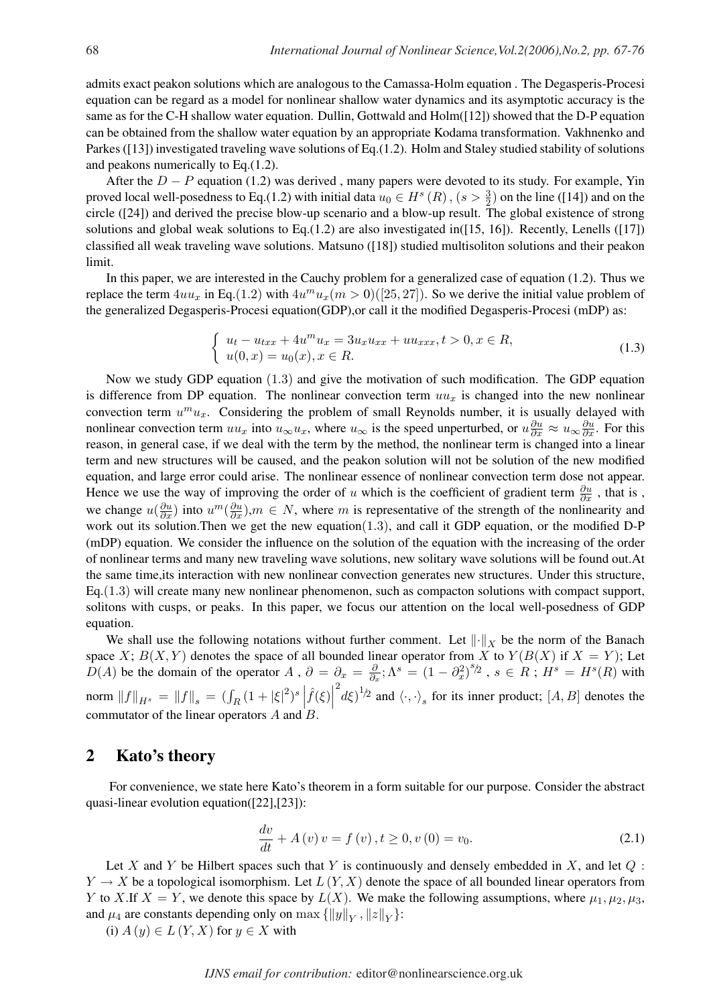admits exact peakon solutions which are analogous to the Camassa-Holm equation . The Degasperis-Procesi equation can be regard as a model for nonlinear shallow water dynamics and its asymptotic accuracy is the same as for the C-H shallow water equation. Dullin, Gottwald and Holm([12]) showed that the D-P equation can be obtained from the shallow water equation by an appropriate Kodama transformation. Vakhnenko and Parkes ([13]) investigated traveling wave solutions of Eq.(1.2). Holm and Staley studied stability of solutions and peakons numerically to Eq.(1.2).

After the  $D - P$  equation (1.2) was derived, many papers were devoted to its study. For example, Yin proved local well-posedness to Eq.(1.2) with initial data  $u_0 \in H^s(R)$ ,  $(s > \frac{3}{2})$  on the line ([14]) and on the circle ([24]) and derived the precise blow-up scenario and a blow-up result. The global existence of strong solutions and global weak solutions to Eq.  $(1.2)$  are also investigated in( $[15, 16]$ ). Recently, Lenells ( $[17]$ ) classified all weak traveling wave solutions. Matsuno ([18]) studied multisoliton solutions and their peakon limit.

In this paper, we are interested in the Cauchy problem for a generalized case of equation (1.2). Thus we replace the term  $4uu_x$  in Eq.(1.2) with  $4u^mu_x(m>0)([25, 27])$ . So we derive the initial value problem of the generalized Degasperis-Procesi equation(GDP),or call it the modified Degasperis-Procesi (mDP) as:

$$
\begin{cases}\n u_t - u_{txx} + 4u^m u_x = 3u_x u_{xx} + u u_{xxx}, t > 0, x \in R, \\
u(0, x) = u_0(x), x \in R.\n\end{cases}
$$
\n(1.3)

Now we study GDP equation (1.3) and give the motivation of such modification. The GDP equation is difference from DP equation. The nonlinear convection term  $uu_x$  is changed into the new nonlinear convection term  $u^m u_x$ . Considering the problem of small Reynolds number, it is usually delayed with nonlinear convection term  $uu_x$  into  $u_\infty u_x$ , where  $u_\infty$  is the speed unperturbed, or  $u \frac{\partial u}{\partial x} \approx u_\infty \frac{\partial u}{\partial x}$ . For this reason, in general case, if we deal with the term by the method, the nonlinear term is changed into a linear term and new structures will be caused, and the peakon solution will not be solution of the new modified equation, and large error could arise. The nonlinear essence of nonlinear convection term dose not appear. Hence we use the way of improving the order of u which is the coefficient of gradient term  $\frac{\partial u}{\partial x}$ , that is, we change  $u(\frac{\partial u}{\partial x})$  into  $u^m(\frac{\partial u}{\partial x})$ ,  $m \in N$ , where m is representative of the strength of the nonlinearity and work out its solution.Then we get the new equation(1.3), and call it GDP equation, or the modified D-P (mDP) equation. We consider the influence on the solution of the equation with the increasing of the order of nonlinear terms and many new traveling wave solutions, new solitary wave solutions will be found out.At the same time,its interaction with new nonlinear convection generates new structures. Under this structure, Eq.(1.3) will create many new nonlinear phenomenon, such as compacton solutions with compact support, solitons with cusps, or peaks. In this paper, we focus our attention on the local well-posedness of GDP equation.

We shall use the following notations without further comment. Let  $\|\cdot\|_X$  be the norm of the Banach space X;  $B(X, Y)$  denotes the space of all bounded linear operator from X to  $Y(B(X))$  if  $X = Y$ ; Let  $D(A)$  be the domain of the operator A,  $\partial = \partial_x = \frac{\partial}{\partial x}$  $\partial = \partial_x = \frac{\partial}{\partial_x}$ ;  $\Lambda^s = (1 - \partial_x^2)^{s/2}$ ,  $s \in R$ ;  $H^s = H^s(R)$  with norm  $||f||_{H^s} = ||f||_s = (\int_R (1+|\xi|^2)^s \left| \hat{f}(\xi) \right|^2 d\xi^{1/2}$  and  $\langle \cdot, \cdot \rangle_s$  for its inner product;  $[A, B]$  denotes the commutator of the linear operators  $A$  and  $B$ .

#### 2 Kato's theory

For convenience, we state here Kato's theorem in a form suitable for our purpose. Consider the abstract quasi-linear evolution equation([22],[23]):

$$
\frac{dv}{dt} + A(v)v = f(v), t \ge 0, v(0) = v_0.
$$
\n(2.1)

Let X and Y be Hilbert spaces such that Y is continuously and densely embedded in X, and let  $Q$ :  $Y \to X$  be a topological isomorphism. Let  $L(Y, X)$  denote the space of all bounded linear operators from Y to X.If  $X = Y$ , we denote this space by  $L(X)$ . We make the following assumptions, where  $\mu_1, \mu_2, \mu_3$ , and  $\mu_4$  are constants depending only on  $\max \{ ||y||_Y, ||z||_Y \}$ :

(i)  $A(y) \in L(Y, X)$  for  $y \in X$  with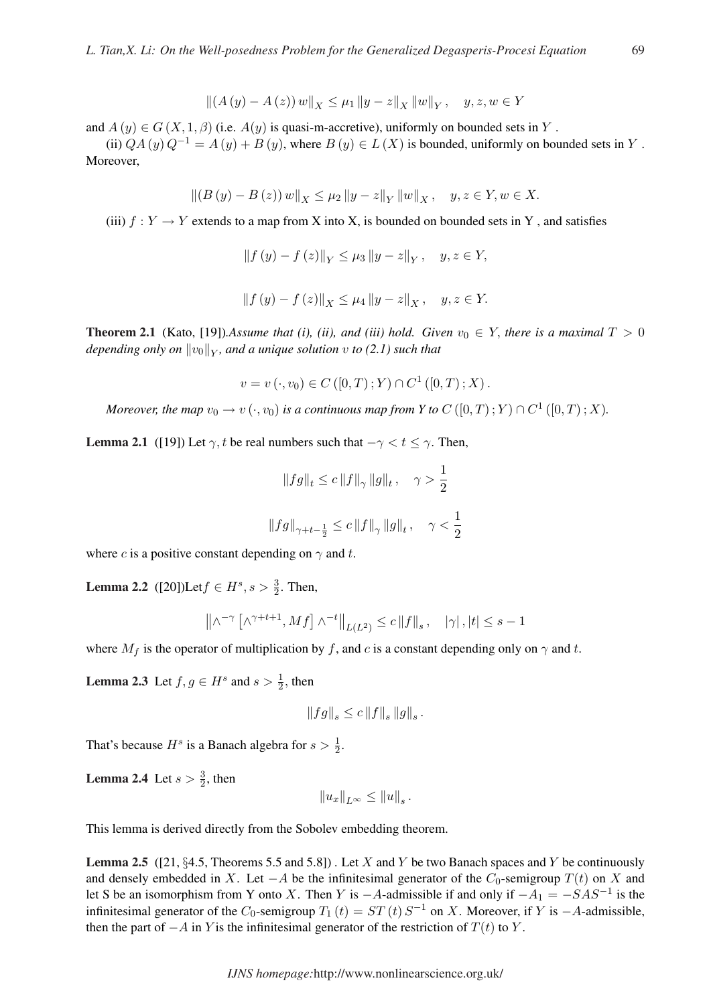$$
|| (A (y) – A (z)) w||X \le \mu_1 ||y – z||X ||w||Y, y, z, w \in Y
$$

and  $A(y) \in G(X, 1, \beta)$  (i.e.  $A(y)$  is quasi-m-accretive), uniformly on bounded sets in Y.

(ii)  $QA(y)Q^{-1} = A(y) + B(y)$ , where  $B(y) \in L(X)$  is bounded, uniformly on bounded sets in Y. Moreover,

$$
\left\| (B(y) - B(z)) w \right\|_X \le \mu_2 \left\| y - z \right\|_Y \left\| w \right\|_X, \quad y, z \in Y, w \in X.
$$

(iii)  $f: Y \to Y$  extends to a map from X into X, is bounded on bounded sets in Y, and satisfies

$$
||f(y) - f(z)||_Y \le \mu_3 ||y - z||_Y, \quad y, z \in Y,
$$
  

$$
||f(y) - f(z)||_Y \le \mu_4 ||y - z||_Y, \quad y, z \in Y.
$$

**Theorem 2.1** (Kato, [19]).Assume that (i), (ii), and (iii) hold. Given  $v_0 \in Y$ , there is a maximal  $T > 0$ *depending only on*  $\|v_0\|_Y$ , and a unique solution  $v$  to (2.1) such that

$$
v = v(\cdot, v_0) \in C([0, T); Y) \cap C^1([0, T); X).
$$

*Moreover, the map*  $v_0 \to v(\cdot,v_0)$  *is a continuous map from Y to*  $C\left([0,T); Y \right) \cap C^1\left([0,T); X \right)$ *.* 

**Lemma 2.1** ([19]) Let  $\gamma$ , t be real numbers such that  $-\gamma < t \leq \gamma$ . Then,

$$
\begin{array}{l} \left\|fg\right\|_{t}\leq c\left\|f\right\|_{\gamma}\left\|g\right\|_{t},\quad \gamma>\dfrac{1}{2}\\\\ \left\|fg\right\|_{\gamma+t-\frac{1}{2}}\leq c\left\|f\right\|_{\gamma}\left\|g\right\|_{t},\quad \gamma<\dfrac{1}{2}\\\\ \end{array}
$$

where c is a positive constant depending on  $\gamma$  and t.

**Lemma 2.2** ([20])Let  $f \in H^s$ ,  $s > \frac{3}{2}$ . Then,

$$
\left\|\wedge^{-\gamma}\left[\wedge^{\gamma+t+1},Mf\right]\wedge^{-t}\right\|_{L(L^{2})}\le c\left\|f\right\|_{s},\quad\left|\gamma\right|,\left|t\right|\le s-1
$$

where  $M_f$  is the operator of multiplication by f, and c is a constant depending only on  $\gamma$  and t.

**Lemma 2.3** Let  $f, g \in H^s$  and  $s > \frac{1}{2}$ , then

$$
\left\Vert fg\right\Vert _{s}\leq c\left\Vert f\right\Vert _{s}\left\Vert g\right\Vert _{s}.
$$

That's because  $H^s$  is a Banach algebra for  $s > \frac{1}{2}$ .

**Lemma 2.4** Let  $s > \frac{3}{2}$ , then

$$
||u_x||_{L^{\infty}} \leq ||u||_s.
$$

This lemma is derived directly from the Sobolev embedding theorem.

**Lemma 2.5** ([21, §4.5, Theorems 5.5 and 5.8]). Let X and Y be two Banach spaces and Y be continuously and densely embedded in X. Let  $-A$  be the infinitesimal generator of the  $C_0$ -semigroup  $T(t)$  on X and let S be an isomorphism from Y onto X. Then Y is  $-A$ -admissible if and only if  $-A_1 = -SAS^{-1}$  is the infinitesimal generator of the  $C_0$ -semigroup  $T_1(t) = ST(t) S^{-1}$  on X. Moreover, if Y is  $-A$ -admissible, then the part of  $-A$  in Y is the infinitesimal generator of the restriction of  $T(t)$  to Y.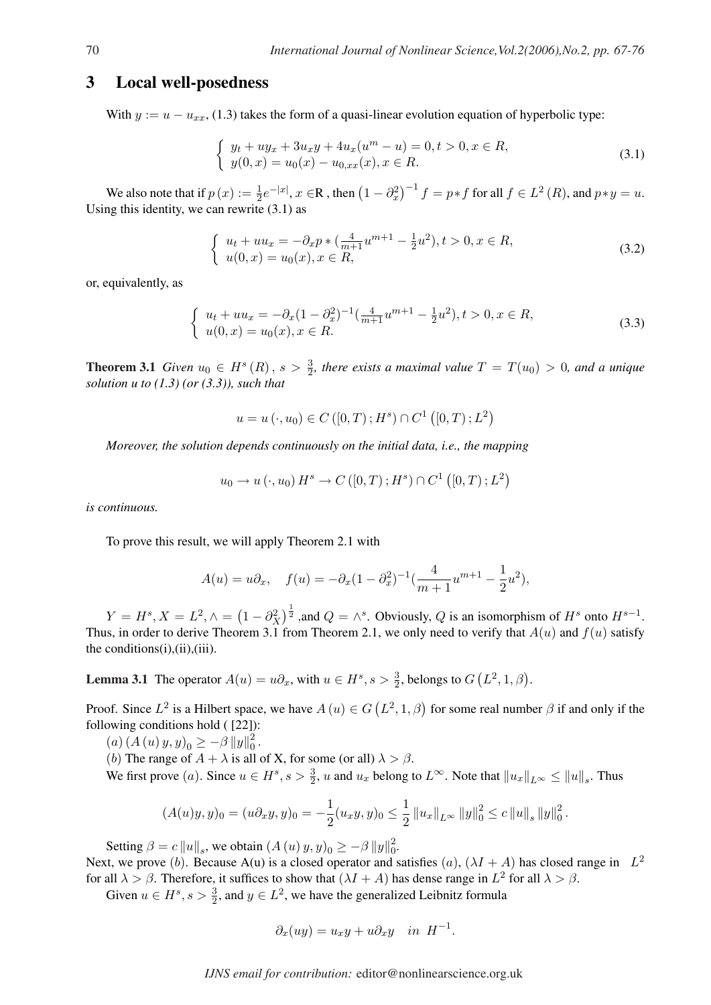### 3 Local well-posedness

With  $y := u - u_{xx}$ , (1.3) takes the form of a quasi-linear evolution equation of hyperbolic type:

$$
\begin{cases}\n y_t + uy_x + 3u_x y + 4u_x (u^m - u) = 0, \, t > 0, \, x \in R, \\
y(0, x) = u_0(x) - u_{0, xx}(x), \, x \in R.\n\end{cases}\n\tag{3.1}
$$

We also note that if  $p(x) := \frac{1}{2} e^{-|x|}, x \in \mathbb{R}$ , then  $(1 - \partial_x^2)$  $\int^{-1} f = p * f$  for all  $f \in L^2(R)$ , and  $p * y = u$ . Using this identity, we can rewrite  $(3.1)$  as

$$
\begin{cases}\n u_t + uu_x = -\partial_x p * \left( \frac{4}{m+1} u^{m+1} - \frac{1}{2} u^2 \right), t > 0, x \in R, \\
u(0, x) = u_0(x), x \in R,\n\end{cases}\n\tag{3.2}
$$

or, equivalently, as

$$
\begin{cases}\n u_t + uu_x = -\partial_x (1 - \partial_x^2)^{-1} \left( \frac{4}{m+1} u^{m+1} - \frac{1}{2} u^2 \right), \quad t > 0, x \in R, \\
u(0, x) = u_0(x), x \in R.\n\end{cases} \tag{3.3}
$$

**Theorem 3.1** *Given*  $u_0 \in H^s(R)$ ,  $s > \frac{3}{2}$ , there exists a maximal value  $T = T(u_0) > 0$ , and a unique *solution u to (1.3) (or (3.3)), such that*

$$
u = u(\cdot, u_0) \in C([0, T); H^s) \cap C^1([0, T); L^2)
$$

*Moreover, the solution depends continuously on the initial data, i.e., the mapping*

$$
u_0 \to u(\cdot, u_0) H^s \to C([0, T); H^s) \cap C^1([0, T); L^2)
$$

*is continuous.*

To prove this result, we will apply Theorem 2.1 with

$$
A(u) = u\partial_x, \quad f(u) = -\partial_x (1 - \partial_x^2)^{-1} \left(\frac{4}{m+1}u^{m+1} - \frac{1}{2}u^2\right),
$$

 $Y = H^s, X = L^2, \wedge =$ ¡  $1-\partial_X^2$  $\big)$ <sup> $\frac{1}{2}$ </sup>, and  $Q = \wedge^s$ . Obviously, Q is an isomorphism of  $H^s$  onto  $H^{s-1}$ . Thus, in order to derive Theorem 3.1 from Theorem 2.1, we only need to verify that  $A(u)$  and  $f(u)$  satisfy the conditions(i),(ii),(iii).

**Lemma 3.1** The operator  $A(u) = u\partial_x$ , with  $u \in H^s$ ,  $s > \frac{3}{2}$ , belongs to G ¡  $L^2, 1, \beta$ .

Proof. Since  $L^2$  is a Hilbert space, we have  $A(u) \in G$ ¡  $(L^2, 1, \beta)$  for some real number  $\beta$  if and only if the following conditions hold ( [22]):

 $(a) (A (u) y, y)_0 \geq -\beta ||y||_0^2$  $\frac{2}{0}$ .

(b) The range of  $A + \lambda$  is all of X, for some (or all)  $\lambda > \beta$ .

We first prove (*a*). Since  $u \in H^s$ ,  $s > \frac{3}{2}$ , *u* and  $u_x$  belong to  $L^\infty$ . Note that  $||u_x||_{L^\infty} \le ||u||_s$ . Thus

$$
(A(u)y, y)_0 = (u \partial_x y, y)_0 = -\frac{1}{2}(u_x y, y)_0 \le \frac{1}{2} ||u_x||_{L^\infty} ||y||_0^2 \le c ||u||_s ||y||_0^2.
$$

Setting  $\beta = c ||u||_s$ , we obtain  $(A(u) y, y)_0 \ge -\beta ||y||_0^2$  $\frac{2}{0}$ 

Next, we prove (b). Because A(u) is a closed operator and satisfies (a),  $(\lambda I + A)$  has closed range in  $L^2$ for all  $\lambda > \beta$ . Therefore, it suffices to show that  $(\lambda I + A)$  has dense range in  $L^2$  for all  $\lambda > \beta$ .

Given  $u \in H^s$ ,  $s > \frac{3}{2}$ , and  $y \in L^2$ , we have the generalized Leibnitz formula

$$
\partial_x (uy) = u_x y + u \partial_x y \quad in \ H^{-1}.
$$

*IJNS email for contribution:* editor@nonlinearscience.org.uk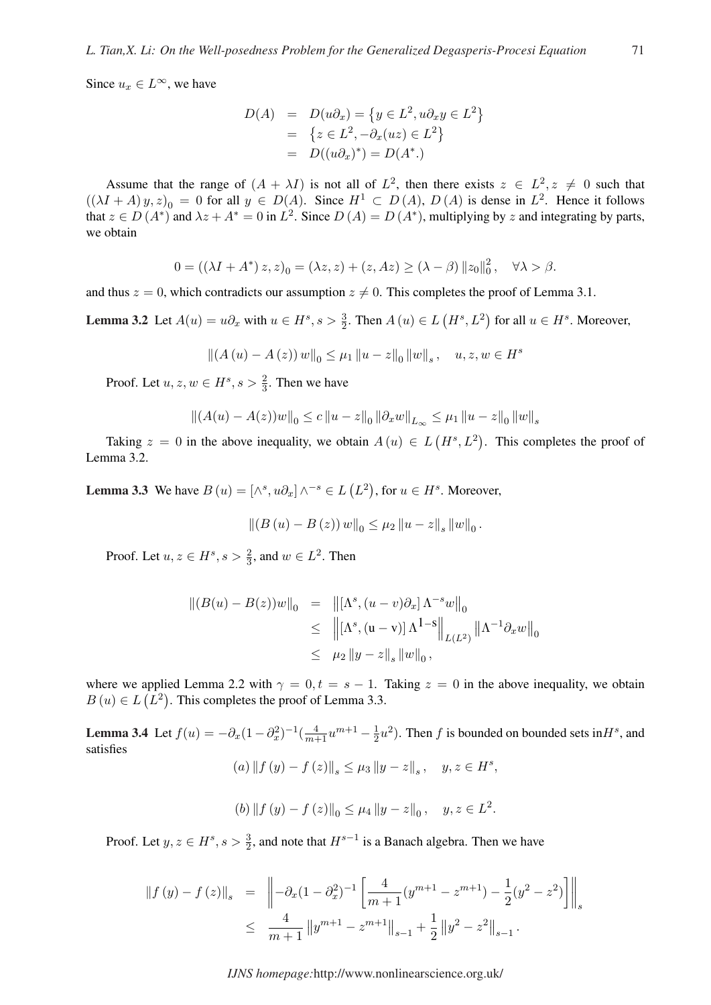Since  $u_x \in L^{\infty}$ , we have

$$
D(A) = D(u\partial_x) = \{y \in L^2, u\partial_x y \in L^2\}
$$
  
= 
$$
\{z \in L^2, -\partial_x(uz) \in L^2\}
$$
  
= 
$$
D((u\partial_x)^*) = D(A^*.)
$$

Assume that the range of  $(A + \lambda I)$  is not all of  $L^2$ , then there exists  $z \in L^2, z \neq 0$  such that  $((\lambda I + A) y, z)_0 = 0$  for all  $y \in D(A)$ . Since  $H^1 \subset D(A)$ ,  $D(A)$  is dense in  $L^2$ . Hence it follows that  $z \in D(A^*)$  and  $\lambda z + A^* = 0$  in  $L^2$ . Since  $D(A) = D(A^*)$ , multiplying by z and integrating by parts, we obtain

$$
0 = \left( \left( \lambda I + A^* \right) z, z \right)_0 = \left( \lambda z, z \right) + \left( z, Az \right) \ge \left( \lambda - \beta \right) \left\| z_0 \right\|_0^2, \quad \forall \lambda > \beta.
$$

and thus  $z = 0$ , which contradicts our assumption  $z \neq 0$ . This completes the proof of Lemma 3.1.

**Lemma 3.2** Let  $A(u) = u\partial_x$  with  $u \in H^s$ ,  $s > \frac{3}{2}$ . Then  $A(u) \in L$  $(H<sup>s</sup>, L<sup>2</sup>)$  for all  $u \in H<sup>s</sup>$ . Moreover,

$$
||(A (u) – A (z)) w||0 \le \mu_1 ||u - z||0 ||w||s, u, z, w \in Hs
$$

Proof. Let  $u, z, w \in H^s, s > \frac{2}{3}$ . Then we have

$$
||(A(u) - A(z))w||_0 \le c ||u - z||_0 ||\partial_x w||_{L_{\infty}} \le \mu_1 ||u - z||_0 ||w||_s
$$

Taking  $z = 0$  in the above inequality, we obtain  $A(u) \in L$  $(H^s, L^2)$ . This completes the proof of Lemma 3.2.

**Lemma 3.3** We have  $B(u) = [\wedge^s, u\partial_x] \wedge^{-s} \in L$  (  $L^2$ ), for  $u \in H^s$ . Moreover,

$$
||(B (u) – B (z)) w||_0 \leq \mu_2 ||u - z||_s ||w||_0.
$$

Proof. Let  $u, z \in H^s, s > \frac{2}{3}$ , and  $w \in L^2$ . Then

$$
\begin{array}{rcl} \|(B(u) - B(z))w\|_0 & = & \left\| \left[ \Lambda^s, (u - v)\partial_x \right] \Lambda^{-s} w \right\|_0 \\ & \leq & \left\| \left[ \Lambda^s, (u - v) \right] \Lambda^{1-s} \right\|_{L(L^2)} \left\| \Lambda^{-1} \partial_x w \right\|_0 \\ & \leq & \mu_2 \left\| y - z \right\|_s \left\| w \right\|_0, \end{array}
$$

where we applied Lemma 2.2 with  $\gamma = 0, t = s - 1$ . Taking  $z = 0$  in the above inequality, we obtain  $B(u) \in L(L^2)$ . This completes the proof of Lemma 3.3.

**Lemma 3.4** Let  $f(u) = -\partial_x (1 - \partial_x^2)^{-1} (\frac{4}{m+1} u^{m+1} - \frac{1}{2})$  $\frac{1}{2}u^2$ ). Then f is bounded on bounded sets in  $H^s$ , and satisfies  $(a)$   $|| f (y) - f (z)||_s \leq \mu_3 ||y - z||_s, \quad y, z \in H^s,$ 

$$
f_{\rm{max}}(x)
$$

(b) 
$$
|| f (y) - f (z) ||_0 \le \mu_4 ||y - z||_0
$$
,  $y, z \in L^2$ .

Proof. Let  $y, z \in H^s, s > \frac{3}{2}$ , and note that  $H^{s-1}$  is a Banach algebra. Then we have

$$
\begin{array}{rcl} \left\|f\left(y\right)-f\left(z\right)\right\|_{s} & = & \left\|-\partial_{x}(1-\partial_{x}^{2})^{-1}\left[\frac{4}{m+1}(y^{m+1}-z^{m+1})-\frac{1}{2}(y^{2}-z^{2})\right]\right\|_{s} \\ & \leq & \frac{4}{m+1}\left\|y^{m+1}-z^{m+1}\right\|_{s-1}+\frac{1}{2}\left\|y^{2}-z^{2}\right\|_{s-1}.\end{array}
$$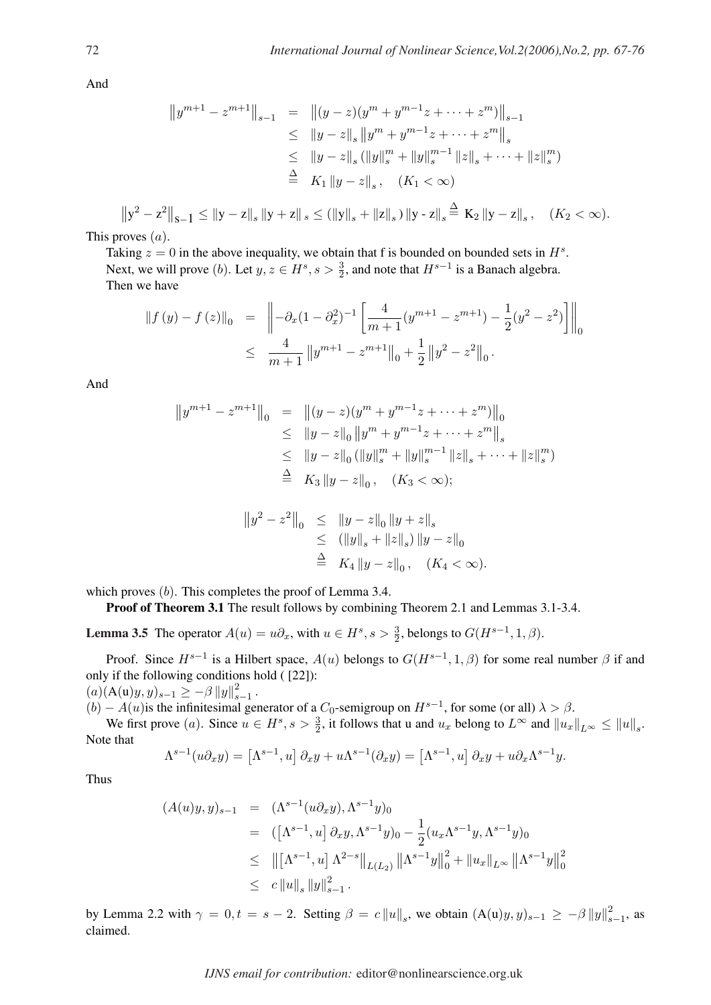And

$$
||y^{m+1} - z^{m+1}||_{s-1} = ||(y-z)(y^m + y^{m-1}z + \dots + z^m)||_{s-1}
$$
  
\n
$$
\leq ||y-z||_s ||y^m + y^{m-1}z + \dots + z^m||_s
$$
  
\n
$$
\leq ||y-z||_s (||y||_s^m + ||y||_s^{m-1} ||z||_s + \dots + ||z||_s^m)
$$
  
\n
$$
\stackrel{\Delta}{=} K_1 ||y-z||_s, \quad (K_1 < \infty)
$$
  
\n
$$
||y^2 - z^2||_{s-1} \leq ||y-z||_s ||y+z||_s \leq (||y||_s + ||z||_s) ||y-z||_s \stackrel{\Delta}{=} K_2 ||y-z||_s, \quad (K_2 < \infty).
$$

This proves  $(a)$ .

Taking  $z = 0$  in the above inequality, we obtain that f is bounded on bounded sets in  $H<sup>s</sup>$ . Next, we will prove (*b*). Let  $y, z \in H^s, s > \frac{3}{2}$ , and note that  $H^{s-1}$  is a Banach algebra. Then we have

$$
\begin{array}{rcl} \left\|f\left(y\right)-f\left(z\right)\right\|_{0} & = & \left\|-\partial_{x}(1-\partial_{x}^{2})^{-1}\left[\frac{4}{m+1}(y^{m+1}-z^{m+1})-\frac{1}{2}(y^{2}-z^{2})\right]\right\|_{0} \\ & \leq & \frac{4}{m+1}\left\|y^{m+1}-z^{m+1}\right\|_{0}+\frac{1}{2}\left\|y^{2}-z^{2}\right\|_{0} .\end{array}
$$

And

$$
||y^{m+1} - z^{m+1}||_0 = ||(y-z)(y^m + y^{m-1}z + \dots + z^m)||_0
$$
  
\n
$$
\leq ||y-z||_0 ||y^m + y^{m-1}z + \dots + z^m||_s
$$
  
\n
$$
\leq ||y-z||_0 (||y||_s^m + ||y||_s^{m-1} ||z||_s + \dots + ||z||_s^m)
$$
  
\n
$$
\stackrel{\Delta}{=} K_3 ||y-z||_0, (K_3 < \infty);
$$

$$
\begin{array}{rcl} \|y^2 - z^2\|_0 & \leq & \|y - z\|_0 \, \|y + z\|_s \\ & \leq & (\|y\|_s + \|z\|_s) \, \|y - z\|_0 \\ & \triangleq & K_4 \, \|y - z\|_0 \, , \quad (K_4 < \infty). \end{array}
$$

which proves (b). This completes the proof of Lemma 3.4.

Proof of Theorem 3.1 The result follows by combining Theorem 2.1 and Lemmas 3.1-3.4.

**Lemma 3.5** The operator  $A(u) = u\partial_x$ , with  $u \in H^s$ ,  $s > \frac{3}{2}$ , belongs to  $G(H^{s-1}, 1, \beta)$ .

Proof. Since  $H^{s-1}$  is a Hilbert space,  $A(u)$  belongs to  $G(H^{s-1}, 1, \beta)$  for some real number  $\beta$  if and only if the following conditions hold ( [22]):

 $(a)(A(u)y, y)_{s-1} \geq -\beta ||y||_s^2$ 2<br>s−1 ·

 $(b) - A(u)$  is the infinitesimal generator of a  $C_0$ -semigroup on  $H^{s-1}$ , for some (or all)  $\lambda > \beta$ .

We first prove (a). Since  $u \in H^s$ ,  $s > \frac{3}{2}$ , it follows that u and  $u_x$  belong to  $L^\infty$  and  $||u_x||_{L^\infty} \le ||u||_s$ . Note that

$$
\Lambda^{s-1}(u\partial_xy) = \left[\Lambda^{s-1},u\right]\partial_xy + u\Lambda^{s-1}(\partial_xy) = \left[\Lambda^{s-1},u\right]\partial_xy + u\partial_x\Lambda^{s-1}y.
$$

Thus

$$
(A(u)y, y)_{s-1} = (\Lambda^{s-1}(u\partial_x y), \Lambda^{s-1}y)_0
$$
  
\n
$$
= ([\Lambda^{s-1}, u] \partial_x y, \Lambda^{s-1}y)_0 - \frac{1}{2}(u_x \Lambda^{s-1}y, \Lambda^{s-1}y)_0
$$
  
\n
$$
\leq ||[\Lambda^{s-1}, u] \Lambda^{2-s}||_{L(L_2)} ||\Lambda^{s-1}y||_0^2 + ||u_x||_{L^\infty} ||\Lambda^{s-1}y||_0^2
$$
  
\n
$$
\leq c ||u||_s ||y||_{s-1}^2.
$$

by Lemma 2.2 with  $\gamma = 0, t = s - 2$ . Setting  $\beta = c ||u||_s$ , we obtain  $(A(u)y, y)_{s-1} \ge -\beta ||y||_s^2$  $\frac{2}{s-1}$ , as claimed.

*IJNS email for contribution:* editor@nonlinearscience.org.uk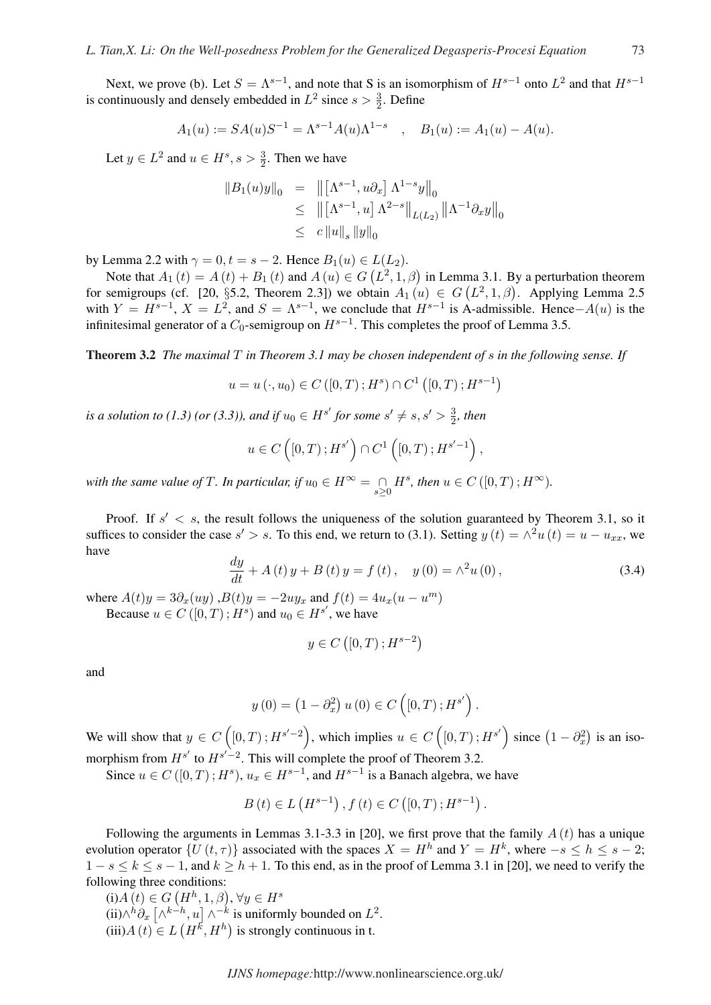Next, we prove (b). Let  $S = \Lambda^{s-1}$ , and note that S is an isomorphism of  $H^{s-1}$  onto  $L^2$  and that  $H^{s-1}$ is continuously and densely embedded in  $L^2$  since  $s > \frac{3}{2}$ . Define

$$
A_1(u) := SA(u)S^{-1} = \Lambda^{s-1}A(u)\Lambda^{1-s}
$$
,  $B_1(u) := A_1(u) - A(u)$ .

Let  $y \in L^2$  and  $u \in H^s$ ,  $s > \frac{3}{2}$ . Then we have

$$
||B_1(u)y||_0 = ||[\Lambda^{s-1}, u\partial_x] \Lambda^{1-s}y||_0
$$
  
\n
$$
\leq ||[\Lambda^{s-1}, u] \Lambda^{2-s}||_{L(L_2)} ||\Lambda^{-1}\partial_x y||_0
$$
  
\n
$$
\leq c ||u||_s ||y||_0
$$

by Lemma 2.2 with  $\gamma = 0, t = s - 2$ . Hence  $B_1(u) \in L(L_2)$ .

Lemma 2.2 with  $\gamma = 0, t = s - 2$ . Hence  $B_1(u) \in L(L_2)$ .<br>Note that  $A_1(t) = A(t) + B_1(t)$  and  $A(u) \in G(L^2, 1, \beta)$  in Lemma 3.1. By a perturbation theorem For semigroups (cf. [20, §5.2, Theorem 2.3]) we obtain  $A_1(u) \in G(L^2, 1, \beta)$ . Applying Lemma 2.5<br>for semigroups (cf. [20, §5.2, Theorem 2.3]) we obtain  $A_1(u) \in G(L^2, 1, \beta)$ . Applying Lemma 2.5 with  $Y = H^{s-1}$ ,  $X = L^2$ , and  $S = \Lambda^{s-1}$ , we conclude that  $H^{s-1}$  is A-admissible. Hence– $A(u)$  is the infinitesimal generator of a  $C_0$ -semigroup on  $H^{s-1}$ . This completes the proof of Lemma 3.5.

Theorem 3.2 *The maximal* T *in Theorem 3.1 may be chosen independent of* s *in the following sense. If*

$$
u = u(\cdot, u_0) \in C([0, T); H^s) \cap C^1([0, T); H^{s-1})
$$

*is a solution to (1.3) (or (3.3)), and if*  $u_0 \in H^{s'}$  for some  $s' \neq s, s' > \frac{3}{2}$  $\frac{3}{2}$ , then

$$
u \in C\left(\left[0, T\right); H^{s'}\right) \cap C^1\left(\left[0, T\right); H^{s'-1}\right),
$$

*with the same value of*  $T$ *. In particular, if*  $u_0 \in H^\infty = \bigcap_{s \geq 0} H^s$ *, then*  $u \in C([0, T); H^\infty)$ *.* 

Proof. If  $s' < s$ , the result follows the uniqueness of the solution guaranteed by Theorem 3.1, so it suffices to consider the case  $s' > s$ . To this end, we return to (3.1). Setting  $y(t) = \wedge^2 u(t) = u - u_{xx}$ , we have

$$
\frac{dy}{dt} + A(t)y + B(t)y = f(t), \quad y(0) = \wedge^2 u(0), \tag{3.4}
$$

where  $A(t)y = 3\partial_x(uy)$ ,  $B(t)y = -2uy_x$  and  $f(t) = 4u_x(u - u^m)$ 

Because  $u \in C([0, T); H^s)$  and  $u_0 \in H^{s'}$ , we have

$$
y \in C\left( [0, T) ; H^{s-2} \right)
$$

and

$$
y(0) = (1 - \partial_x^2) u(0) \in C([0, T); H^{s'}).
$$

We will show that  $y \in C$  $\overline{a}$  $[0, T)$ ;  $H^{s'-2}$ , which implies  $u \in C$  $[0, T)$ ;  $H^{s'}$  since  $(1 - \partial_x^2)$ ¢ is an isomorphism from  $H^{s'}$  to  $H^{s'-2}$ . This will complete the proof of Theorem 3.2.

Since  $u \in C([0, T); H^s)$ ,  $u_x \in H^{s-1}$ , and  $H^{s-1}$  is a Banach algebra, we have

$$
B(t) \in L(H^{s-1}), f(t) \in C([0,T); H^{s-1}).
$$

Following the arguments in Lemmas 3.1-3.3 in [20], we first prove that the family  $A(t)$  has a unique evolution operator  $\{U(t, \tau)\}\$  associated with the spaces  $X = H^h$  and  $Y = H^k$ , where  $-s \leq h \leq s - 2$ ;  $1 - s \le k \le s - 1$ , and  $k \ge h + 1$ . To this end, as in the proof of Lemma 3.1 in [20], we need to verify the following three conditions:

Swing three conditions:<br>(i)  $A(t) \in G(H^h, 1, \beta), \forall y \in H^s$ (i)A(t) ∈<br>(ii) $\wedge^h \partial_x$  |  $A^{k-h}, u \mid A^{-k}$  is uniformly bounded on  $L^2$ .  $(iii) A(t) \in L(H^k, H^h)$  is strongly continuous in t.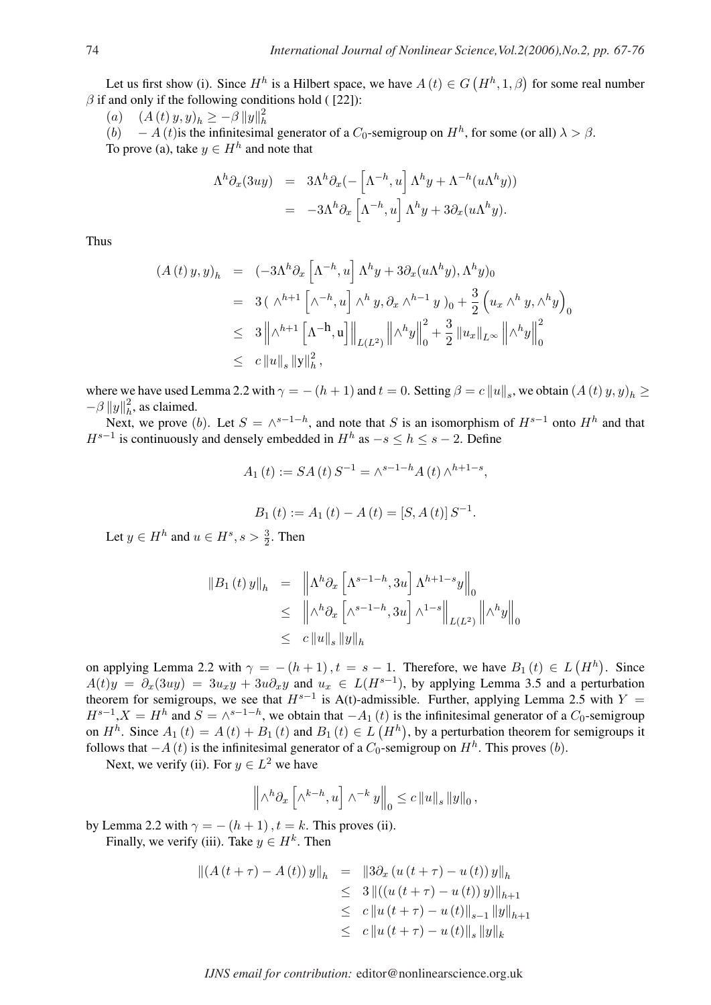Let us first show (i). Since  $H<sup>h</sup>$  is a Hilbert space, we have  $A(t) \in G$  $(H<sup>h</sup>, 1, \beta)$  for some real number  $\beta$  if and only if the following conditions hold ( [22]):

(a)  $(A(t) y, y)_h \geq -\beta \|y\|_h^2$ h

(b)  $-A(t)$  is the infinitesimal generator of a  $C_0$ -semigroup on  $H<sup>h</sup>$ , for some (or all)  $\lambda > \beta$ . To prove (a), take  $y \in H^h$  and note that

$$
\Lambda^h \partial_x (3uy) = 3\Lambda^h \partial_x (-\left[\Lambda^{-h}, u\right] \Lambda^h y + \Lambda^{-h} (u \Lambda^h y))
$$
  
= -3\Lambda^h \partial\_x \left[\Lambda^{-h}, u\right] \Lambda^h y + 3\partial\_x (u \Lambda^h y).

Thus

$$
(A(t) y, y)_h = (-3\Lambda^h \partial_x \left[\Lambda^{-h}, u\right] \Lambda^h y + 3\partial_x (u\Lambda^h y), \Lambda^h y)_0
$$
  
\n
$$
= 3\left(\Lambda^{h+1} \left[\Lambda^{-h}, u\right] \Lambda^h y, \partial_x \Lambda^{h-1} y\right)_0 + \frac{3}{2} \left(u_x \Lambda^h y, \Lambda^h y\right)_0
$$
  
\n
$$
\leq 3 \left\|\Lambda^{h+1} \left[\Lambda^{-h}, u\right] \right\|_{L(L^2)} \left\|\Lambda^h y\right\|_0^2 + \frac{3}{2} \left\|u_x\right\|_{L^\infty} \left\|\Lambda^h y\right\|_0^2
$$
  
\n
$$
\leq c \left\|u\right\|_s \left\|y\right\|_h^2,
$$

where we have used Lemma 2.2 with  $\gamma = -(h+1)$  and  $t = 0$ . Setting  $\beta = c ||u||_s$ , we obtain  $(A(t) y, y)_h \ge$  $-\beta ||y||_h^2$  $\frac{2}{h}$ , as claimed.

Next, we prove (b). Let  $S = \wedge^{s-1-h}$ , and note that S is an isomorphism of  $H^{s-1}$  onto  $H^h$  and that  $H^{s-1}$  is continuously and densely embedded in  $H^h$  as  $-s \leq h \leq s-2$ . Define

$$
A_1(t) := SA(t) S^{-1} = \wedge^{s-1-h} A(t) \wedge^{h+1-s},
$$

$$
B_1(t) := A_1(t) - A(t) = [S, A(t)] S^{-1}.
$$

Let  $y \in H^h$  and  $u \in H^s$ ,  $s > \frac{3}{2}$ . Then

$$
\begin{array}{rcl} \|B_1(t)y\|_h & = & \left\|\Lambda^h \partial_x \left[\Lambda^{s-1-h}, 3u\right] \Lambda^{h+1-s} y\right\|_0 \\ & \leq & \left\|\Lambda^h \partial_x \left[\Lambda^{s-1-h}, 3u\right] \Lambda^{1-s}\right\|_{L(L^2)} \left\|\Lambda^h y\right\|_0 \\ & \leq & c \left\|u\right\|_s \|y\|_h \end{array}
$$

on applying Lemma 2.2 with  $\gamma = -(h+1), t = s-1$ . Therefore, we have  $B_1(t) \in L$  $(H<sup>h</sup>)$ . Since  $A(t)y = \partial_x(3uy) = 3u_xy + 3u\partial_xy$  and  $u_x \in L(H^{s-1})$ , by applying Lemma 3.5 and a perturbation theorem for semigroups, we see that  $H^{s-1}$  is A(t)-admissible. Further, applying Lemma 2.5 with  $Y =$  $H^{s-1}$ ,  $X = H^h$  and  $S = \wedge^{s-1-h}$ , we obtain that  $-A_1(t)$  is the infinitesimal generator of a  $C_0$ -semigroup on  $H^h$ . Since  $A_1(t) = A(t) + B_1(t)$  and  $B_1(t) \in L$  $\mu$ ) is  $(H^h)$ , by a perturbation theorem for semigroups it follows that  $-A(t)$  is the infinitesimal generator of a  $C_0$ -semigroup on  $H<sup>h</sup>$ . This proves  $(b)$ .

Next, we verify (ii). For  $y \in L^2$  we have

$$
\left\|\wedge^h\partial_x\left[\wedge^{k-h},u\right]\wedge^{-k}y\right\|_0\leq c\left\|u\right\|_s\left\|y\right\|_0,
$$

by Lemma 2.2 with  $\gamma = -(h+1)$ ,  $t = k$ . This proves (ii).

Finally, we verify (iii). Take  $y \in H^k$ . Then

$$
||(A(t+\tau) - A(t))y||_h = ||3\partial_x (u(t+\tau) - u(t))y||_h
$$
  
\n
$$
\leq 3 ||((u(t+\tau) - u(t))y)||_{h+1}
$$
  
\n
$$
\leq c ||u(t+\tau) - u(t)||_{s-1} ||y||_{h+1}
$$
  
\n
$$
\leq c ||u(t+\tau) - u(t)||_s ||y||_k
$$

*IJNS email for contribution:* editor@nonlinearscience.org.uk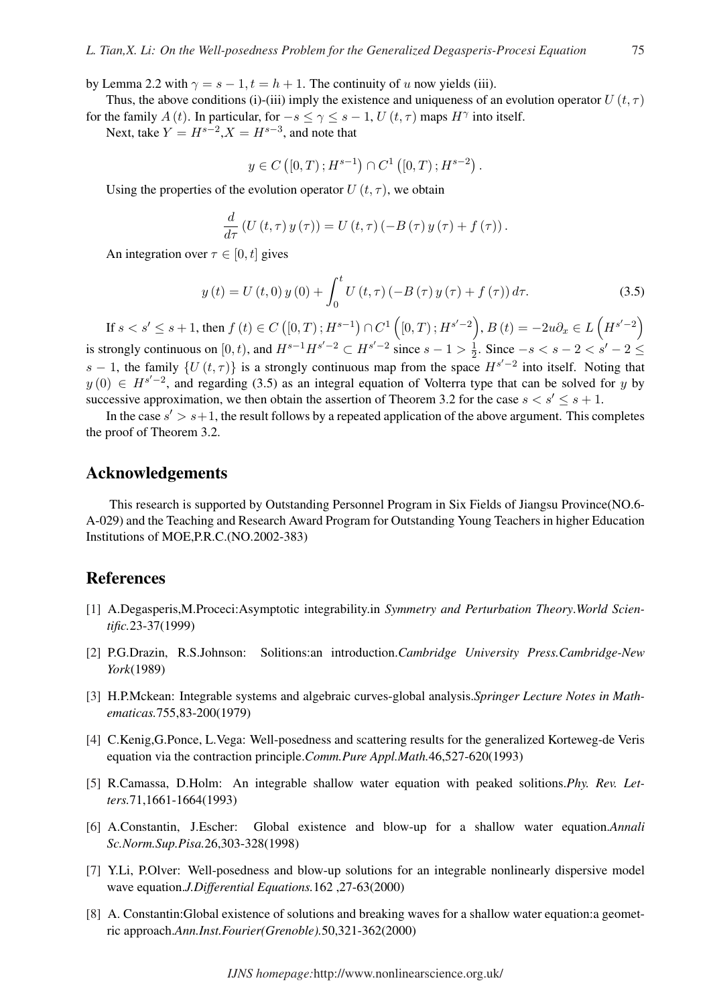by Lemma 2.2 with  $\gamma = s - 1, t = h + 1$ . The continuity of u now yields (iii).

Thus, the above conditions (i)-(iii) imply the existence and uniqueness of an evolution operator  $U(t, \tau)$ for the family A (t). In particular, for  $-s \le \gamma \le s - 1$ , U  $(t, \tau)$  maps  $H^{\gamma}$  into itself.

Next, take  $Y = H^{s-2}$ ,  $X = H^{s-3}$ , and note that

$$
y \in C([0, T); H^{s-1}) \cap C^{1}([0, T); H^{s-2}).
$$

Using the properties of the evolution operator  $U(t, \tau)$ , we obtain

$$
\frac{d}{d\tau}\left(U\left(t,\tau\right)y\left(\tau\right)\right)=U\left(t,\tau\right)\left(-B\left(\tau\right)y\left(\tau\right)+f\left(\tau\right)\right).
$$

An integration over  $\tau \in [0, t]$  gives

$$
y(t) = U(t,0) y(0) + \int_0^t U(t,\tau) (-B(\tau) y(\tau) + f(\tau)) d\tau.
$$
 (3.5)

If  $s < s' \leq s + 1$ , then  $f(t) \in C([0, T); H^{s-1})$  $\cap C^1$  (  $[0, T); H^{s'-2}$ ,  $B(t) = -2u\partial_x \in L$  $H^{s'-2}$ is strongly continuous on [0, t), and  $H^{s-1}H^{s'-2} \subset H^{s'-2}$  since  $s-1 > \frac{1}{2}$  $\frac{1}{2}$ . Since  $-s < s - 2 < s' - 2 \le$ s – 1, the family  $\{U(t, \tau)\}\$ is a strongly continuous map from the space  $H^{s'-2}$  into itself. Noting that  $y(0) \in H^{s'-2}$ , and regarding (3.5) as an integral equation of Volterra type that can be solved for y by successive approximation, we then obtain the assertion of Theorem 3.2 for the case  $s < s' \leq s + 1$ .

In the case  $s' > s+1$ , the result follows by a repeated application of the above argument. This completes the proof of Theorem 3.2.

#### Acknowledgements

This research is supported by Outstanding Personnel Program in Six Fields of Jiangsu Province(NO.6- A-029) and the Teaching and Research Award Program for Outstanding Young Teachers in higher Education Institutions of MOE,P.R.C.(NO.2002-383)

## References

- [1] A.Degasperis,M.Proceci:Asymptotic integrability.in *Symmetry and Perturbation Theory*.*World Scientific.*23-37(1999)
- [2] P.G.Drazin, R.S.Johnson: Solitions:an introduction.*Cambridge University Press.Cambridge-New York*(1989)
- [3] H.P.Mckean: Integrable systems and algebraic curves-global analysis.*Springer Lecture Notes in Mathematicas.*755,83-200(1979)
- [4] C.Kenig,G.Ponce, L.Vega: Well-posedness and scattering results for the generalized Korteweg-de Veris equation via the contraction principle.*Comm.Pure Appl.Math.*46,527-620(1993)
- [5] R.Camassa, D.Holm: An integrable shallow water equation with peaked solitions.*Phy. Rev. Letters.*71,1661-1664(1993)
- [6] A.Constantin, J.Escher: Global existence and blow-up for a shallow water equation.*Annali Sc.Norm.Sup.Pisa.*26,303-328(1998)
- [7] Y.Li, P.Olver: Well-posedness and blow-up solutions for an integrable nonlinearly dispersive model wave equation.*J.Differential Equations.*162 ,27-63(2000)
- [8] A. Constantin:Global existence of solutions and breaking waves for a shallow water equation:a geometric approach.*Ann.Inst.Fourier(Grenoble).*50,321-362(2000)